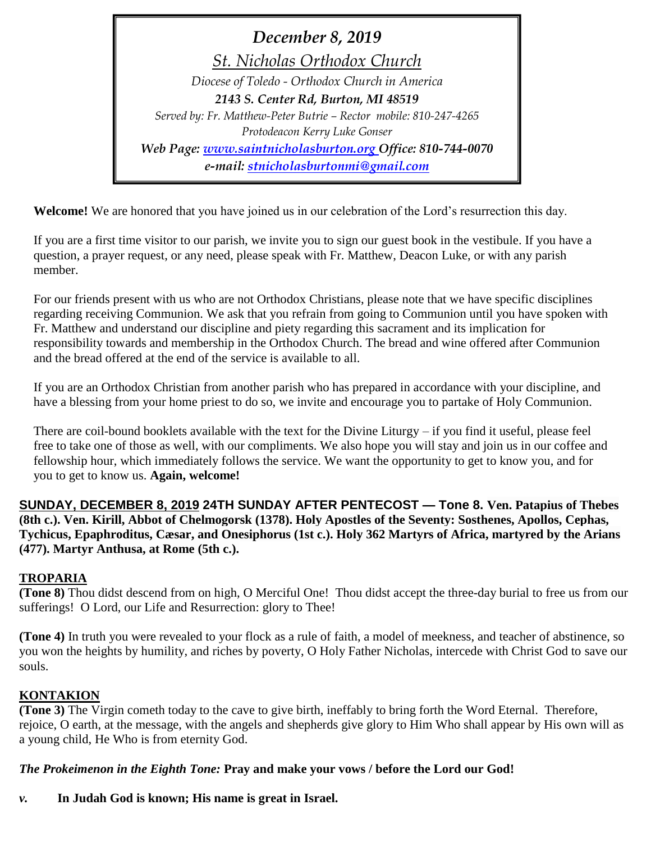*December 8, 2019 St. Nicholas Orthodox Church Diocese of Toledo - Orthodox Church in America 2143 S. Center Rd, Burton, MI 48519 Served by: Fr. Matthew-Peter Butrie – Rector mobile: 810-247-4265 Protodeacon Kerry Luke Gonser Web Page: [www.saintnicholasburton.org](http://www.saintnicholasburton.org/) Office: 810-744-0070 e-mail: [stnicholasburtonmi@gmail.com](mailto:stnicholasburtonmi@gmail.com)*

**Welcome!** We are honored that you have joined us in our celebration of the Lord's resurrection this day.

If you are a first time visitor to our parish, we invite you to sign our guest book in the vestibule. If you have a question, a prayer request, or any need, please speak with Fr. Matthew, Deacon Luke, or with any parish member.

For our friends present with us who are not Orthodox Christians, please note that we have specific disciplines regarding receiving Communion. We ask that you refrain from going to Communion until you have spoken with Fr. Matthew and understand our discipline and piety regarding this sacrament and its implication for responsibility towards and membership in the Orthodox Church. The bread and wine offered after Communion and the bread offered at the end of the service is available to all.

If you are an Orthodox Christian from another parish who has prepared in accordance with your discipline, and have a blessing from your home priest to do so, we invite and encourage you to partake of Holy Communion.

There are coil-bound booklets available with the text for the Divine Liturgy – if you find it useful, please feel free to take one of those as well, with our compliments. We also hope you will stay and join us in our coffee and fellowship hour, which immediately follows the service. We want the opportunity to get to know you, and for you to get to know us. **Again, welcome!**

**SUNDAY, DECEMBER 8, 2019 24TH SUNDAY AFTER PENTECOST — Tone 8. Ven. Patapius of Thebes (8th c.). Ven. Kirill, Abbot of Chelmogorsk (1378). Holy Apostles of the Seventy: Sosthenes, Apollos, Cephas, Tychicus, Epaphroditus, Cæsar, and Onesiphorus (1st c.). Holy 362 Martyrs of Africa, martyred by the Arians (477). Martyr Anthusa, at Rome (5th c.).**

# **TROPARIA**

**(Tone 8)** Thou didst descend from on high, O Merciful One! Thou didst accept the three-day burial to free us from our sufferings! O Lord, our Life and Resurrection: glory to Thee!

**(Tone 4)** In truth you were revealed to your flock as a rule of faith, a model of meekness, and teacher of abstinence, so you won the heights by humility, and riches by poverty, O Holy Father Nicholas, intercede with Christ God to save our souls.

# **KONTAKION**

**(Tone 3)** The Virgin cometh today to the cave to give birth, ineffably to bring forth the Word Eternal. Therefore, rejoice, O earth, at the message, with the angels and shepherds give glory to Him Who shall appear by His own will as a young child, He Who is from eternity God.

# *The Prokeimenon in the Eighth Tone:* **Pray and make your vows / before the Lord our God!**

### *v.* **In Judah God is known; His name is great in Israel.**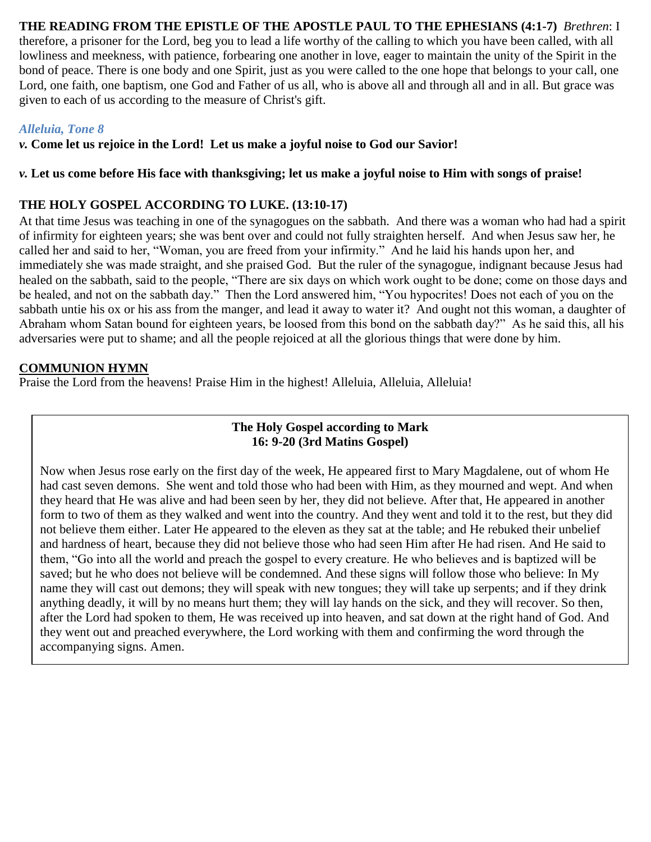### **THE READING FROM THE EPISTLE OF THE APOSTLE PAUL TO THE EPHESIANS (4:1-7)** *Brethren*: I

therefore, a prisoner for the Lord, beg you to lead a life worthy of the calling to which you have been called, with all lowliness and meekness, with patience, forbearing one another in love, eager to maintain the unity of the Spirit in the bond of peace. There is one body and one Spirit, just as you were called to the one hope that belongs to your call, one Lord, one faith, one baptism, one God and Father of us all, who is above all and through all and in all. But grace was given to each of us according to the measure of Christ's gift.

#### *Alleluia, Tone 8*

*v.* **Come let us rejoice in the Lord! Let us make a joyful noise to God our Savior!**

#### *v.* **Let us come before His face with thanksgiving; let us make a joyful noise to Him with songs of praise!**

## **THE HOLY GOSPEL ACCORDING TO LUKE. (13:10-17)**

At that time Jesus was teaching in one of the synagogues on the sabbath. And there was a woman who had had a spirit of infirmity for eighteen years; she was bent over and could not fully straighten herself. And when Jesus saw her, he called her and said to her, "Woman, you are freed from your infirmity." And he laid his hands upon her, and immediately she was made straight, and she praised God. But the ruler of the synagogue, indignant because Jesus had healed on the sabbath, said to the people, "There are six days on which work ought to be done; come on those days and be healed, and not on the sabbath day." Then the Lord answered him, "You hypocrites! Does not each of you on the sabbath untie his ox or his ass from the manger, and lead it away to water it? And ought not this woman, a daughter of Abraham whom Satan bound for eighteen years, be loosed from this bond on the sabbath day?" As he said this, all his adversaries were put to shame; and all the people rejoiced at all the glorious things that were done by him.

### **COMMUNION HYMN**

Praise the Lord from the heavens! Praise Him in the highest! Alleluia, Alleluia, Alleluia!

#### **The Holy Gospel according to Mark 16: 9-20 (3rd Matins Gospel)**

Now when Jesus rose early on the first day of the week, He appeared first to Mary Magdalene, out of whom He had cast seven demons. She went and told those who had been with Him, as they mourned and wept. And when they heard that He was alive and had been seen by her, they did not believe. After that, He appeared in another form to two of them as they walked and went into the country. And they went and told it to the rest, but they did not believe them either. Later He appeared to the eleven as they sat at the table; and He rebuked their unbelief and hardness of heart, because they did not believe those who had seen Him after He had risen. And He said to them, "Go into all the world and preach the gospel to every creature. He who believes and is baptized will be saved; but he who does not believe will be condemned. And these signs will follow those who believe: In My name they will cast out demons; they will speak with new tongues; they will take up serpents; and if they drink anything deadly, it will by no means hurt them; they will lay hands on the sick, and they will recover. So then, after the Lord had spoken to them, He was received up into heaven, and sat down at the right hand of God. And they went out and preached everywhere, the Lord working with them and confirming the word through the accompanying signs. Amen.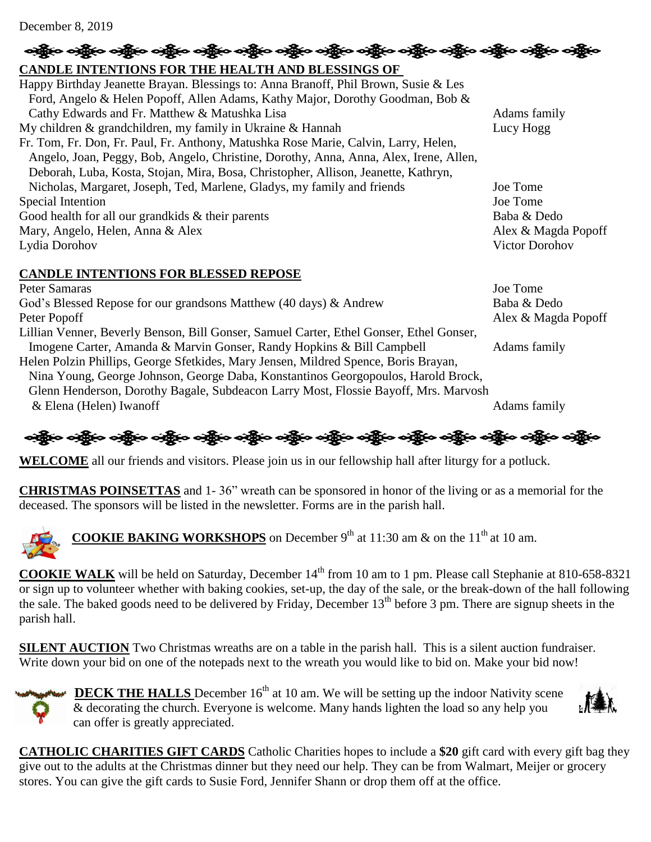#### December 8, 2019

# ရရွိက တန္တို့လ တန္တို့လ တန္တို့လ တန္တို့လ တန္တို့လ တန္တို့လ တန္တို့လ တန္တို့လ တန္တို့လ တန္တို့လ တန္တို့လ တန္တိ **CANDLE INTENTIONS FOR THE HEALTH AND BLESSINGS OF**  Happy Birthday Jeanette Brayan. Blessings to: Anna Branoff, Phil Brown, Susie & Les Ford, Angelo & Helen Popoff, Allen Adams, Kathy Major, Dorothy Goodman, Bob & Cathy Edwards and Fr. Matthew & Matushka Lisa Adams family My children & grandchildren, my family in Ukraine & Hannah Lucy Hogg Fr. Tom, Fr. Don, Fr. Paul, Fr. Anthony, Matushka Rose Marie, Calvin, Larry, Helen, Angelo, Joan, Peggy, Bob, Angelo, Christine, Dorothy, Anna, Anna, Alex, Irene, Allen, Deborah, Luba, Kosta, Stojan, Mira, Bosa, Christopher, Allison, Jeanette, Kathryn, Nicholas, Margaret, Joseph, Ted, Marlene, Gladys, my family and friends Joe Tome Special Intention Joe Tome Good health for all our grandkids & their parents Baba & Dedo Mary, Angelo, Helen, Anna & Alex **Alex** Alex **Alex Alex Alex Alex Alex Alex Alex Alex** Alex Anagda Popoff Lydia Dorohov Victor Dorohov

# **CANDLE INTENTIONS FOR BLESSED REPOSE**

Peter Samaras Joe Tome God's Blessed Repose for our grandsons Matthew (40 days) & Andrew Baba & Dedo Peter Popoff Alex & Magda Popoff Lillian Venner, Beverly Benson, Bill Gonser, Samuel Carter, Ethel Gonser, Ethel Gonser, Imogene Carter, Amanda & Marvin Gonser, Randy Hopkins & Bill Campbell Adams family Helen Polzin Phillips, George Sfetkides, Mary Jensen, Mildred Spence, Boris Brayan, Nina Young, George Johnson, George Daba, Konstantinos Georgopoulos, Harold Brock, Glenn Henderson, Dorothy Bagale, Subdeacon Larry Most, Flossie Bayoff, Mrs. Marvosh & Elena (Helen) Iwanoff Adams family

$$
\frac{1}{2} \frac{1}{2} \frac{1}{2} \frac{1}{2} \frac{1}{2} \frac{1}{2} \frac{1}{2} \frac{1}{2} \frac{1}{2} \frac{1}{2} \frac{1}{2} \frac{1}{2} \frac{1}{2} \frac{1}{2} \frac{1}{2} \frac{1}{2} \frac{1}{2} \frac{1}{2} \frac{1}{2} \frac{1}{2} \frac{1}{2} \frac{1}{2} \frac{1}{2} \frac{1}{2} \frac{1}{2} \frac{1}{2} \frac{1}{2} \frac{1}{2} \frac{1}{2} \frac{1}{2} \frac{1}{2} \frac{1}{2} \frac{1}{2} \frac{1}{2} \frac{1}{2} \frac{1}{2} \frac{1}{2} \frac{1}{2} \frac{1}{2} \frac{1}{2} \frac{1}{2} \frac{1}{2} \frac{1}{2} \frac{1}{2} \frac{1}{2} \frac{1}{2} \frac{1}{2} \frac{1}{2} \frac{1}{2} \frac{1}{2} \frac{1}{2} \frac{1}{2} \frac{1}{2} \frac{1}{2} \frac{1}{2} \frac{1}{2} \frac{1}{2} \frac{1}{2} \frac{1}{2} \frac{1}{2} \frac{1}{2} \frac{1}{2} \frac{1}{2} \frac{1}{2} \frac{1}{2} \frac{1}{2} \frac{1}{2} \frac{1}{2} \frac{1}{2} \frac{1}{2} \frac{1}{2} \frac{1}{2} \frac{1}{2} \frac{1}{2} \frac{1}{2} \frac{1}{2} \frac{1}{2} \frac{1}{2} \frac{1}{2} \frac{1}{2} \frac{1}{2} \frac{1}{2} \frac{1}{2} \frac{1}{2} \frac{1}{2} \frac{1}{2} \frac{1}{2} \frac{1}{2} \frac{1}{2} \frac{1}{2} \frac{1}{2} \frac{1}{2} \frac{1}{2} \frac{1}{2} \frac{1}{2} \frac{1}{2} \frac{1}{2} \frac{1}{2} \frac{1}{2} \frac{1}{2} \frac{1}{2} \frac{1}{2} \frac{1}{2} \frac{1}{2} \frac{1}{2} \frac{1}{2} \frac{1}{2} \frac{1}{2} \frac{
$$

**WELCOME** all our friends and visitors. Please join us in our fellowship hall after liturgy for a potluck.

**CHRISTMAS POINSETTAS** and 1- 36" wreath can be sponsored in honor of the living or as a memorial for the deceased. The sponsors will be listed in the newsletter. Forms are in the parish hall.



**COOKIE BAKING WORKSHOPS** on December  $9<sup>th</sup>$  at 11:30 am & on the 11<sup>th</sup> at 10 am.

**COOKIE WALK** will be held on Saturday, December 14<sup>th</sup> from 10 am to 1 pm. Please call Stephanie at 810-658-8321 or sign up to volunteer whether with baking cookies, set-up, the day of the sale, or the break-down of the hall following the sale. The baked goods need to be delivered by Friday, December  $13<sup>th</sup>$  before 3 pm. There are signup sheets in the parish hall.

**SILENT AUCTION** Two Christmas wreaths are on a table in the parish hall. This is a silent auction fundraiser. Write down your bid on one of the notepads next to the wreath you would like to bid on. Make your bid now!



**DECK THE HALLS** December 16<sup>th</sup> at 10 am. We will be setting up the indoor Nativity scene & decorating the church. Everyone is welcome. Many hands lighten the load so any help you can offer is greatly appreciated.



**CATHOLIC CHARITIES GIFT CARDS** Catholic Charities hopes to include a **\$20** gift card with every gift bag they give out to the adults at the Christmas dinner but they need our help. They can be from Walmart, Meijer or grocery stores. You can give the gift cards to Susie Ford, Jennifer Shann or drop them off at the office.